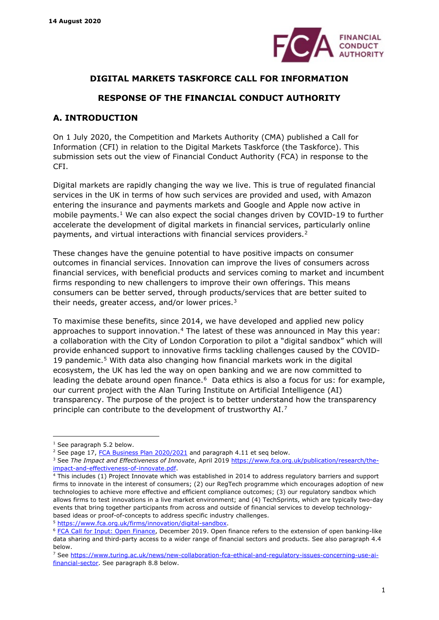<span id="page-0-7"></span>

## **DIGITAL MARKETS TASKFORCE CALL FOR INFORMATION**

# **RESPONSE OF THE FINANCIAL CONDUCT AUTHORITY**

# **A. INTRODUCTION**

On 1 July 2020, the Competition and Markets Authority (CMA) published a Call for Information (CFI) in relation to the Digital Markets Taskforce (the Taskforce). This submission sets out the view of Financial Conduct Authority (FCA) in response to the CFI.

Digital markets are rapidly changing the way we live. This is true of regulated financial services in the UK in terms of how such services are provided and used, with Amazon entering the insurance and payments markets and Google and Apple now active in mobile payments.<sup>[1](#page-0-0)</sup> We can also expect the social changes driven by COVID-19 to further accelerate the development of digital markets in financial services, particularly online payments, and virtual interactions with financial services providers.[2](#page-0-1)

These changes have the genuine potential to have positive impacts on consumer outcomes in financial services. Innovation can improve the lives of consumers across financial services, with beneficial products and services coming to market and incumbent firms responding to new challengers to improve their own offerings. This means consumers can be better served, through products/services that are better suited to their needs, greater access, and/or lower prices.<sup>[3](#page-0-2)</sup>

<span id="page-0-9"></span><span id="page-0-8"></span>To maximise these benefits, since 2014, we have developed and applied new policy approaches to support innovation.<sup>[4](#page-0-3)</sup> The latest of these was announced in May this year: a collaboration with the City of London Corporation to pilot a "digital sandbox" which will provide enhanced support to innovative firms tackling challenges caused by the COVID-19 pandemic.[5](#page-0-4) With data also changing how financial markets work in the digital ecosystem, the UK has led the way on open banking and we are now committed to leading the debate around open finance.<sup>6</sup> Data ethics is also a focus for us: for example, our current project with the Alan Turing Institute on Artificial Intelligence (AI) transparency. The purpose of the project is to better understand how the transparency principle can contribute to the development of trustworthy AI.[7](#page-0-6) 

<span id="page-0-0"></span><sup>&</sup>lt;sup>1</sup> See paragraph [5.2](#page-11-0) below.

<span id="page-0-1"></span><sup>&</sup>lt;sup>2</sup> See page 17, [FCA Business Plan 2020/2021](https://www.fca.org.uk/publication/business-plans/business-plan-2020-21.pdf?__cf_chl_captcha_tk__=ffc3a117bd4da15f7fdf691f1b7ece991f29c330-1586860262-0-Ac4zng8fKYT6S4yUgvahktO4HMgVv0nRM_c4NOq5UD97t0NZf-S0InH4APHfjICCiVhSz9fME_1TtAnUz5XYyrSRPNt2WDctEexPqfgprAgoR8uoOgRpSitbjoFPJeTDaaZTSMtxPwlAI0bCiNvA4Ev6jx0qrhh6PEI1zTqv985fun4gBnXF4J4_kLO9foI-q9vVHBlvk57vhG-0Njs-x8GcpDAmM2s7z6eDmjUKX7L2RsYZqUG_P-706P2N84bYSvbGufcaLzupTAilQC8DHXGnVCPHt_67zQv7lYdV-wigaNg-ZgBbb1YELW9ogcRrfwZlTQtkMVRX8ujOdC2nBs4BP_v_INrp6AHheAYYfZuSED-v_PCptFA5LJD4m0nWQCHQtblPpg8TVoMRf_MwetolhJj-4Tgcq0U7efGrQHGt9arXXR_myDdYUqT1hEJHOruwanSd7FM3YYDCmCQu7ihKhSFKBDNNrdYK3aw0axxVdaWAvbHDVbJa3phBd_F2sVfrJXuEm2TwnHSeqQP4qFGC29-mipCrRb4SnHaOdidw) and paragraph [4.11](#page-9-0) et seg below.

<span id="page-0-2"></span><sup>&</sup>lt;sup>3</sup> See The Impact and Effectiveness of Innovate, April 2019 [https://www.fca.org.uk/publication/research/the](https://www.fca.org.uk/publication/research/the-impact-and-effectiveness-of-innovate.pdf)[impact-and-effectiveness-of-innovate.pdf.](https://www.fca.org.uk/publication/research/the-impact-and-effectiveness-of-innovate.pdf)<br><sup>4</sup> This includes (1) Project Innovate which was established in 2014 to address regulatory barriers and support

<span id="page-0-3"></span>firms to innovate in the interest of consumers; (2) our RegTech programme which encourages adoption of new technologies to achieve more effective and efficient compliance outcomes; (3) our regulatory sandbox which allows firms to test innovations in a live market environment; and (4) TechSprints, which are typically two-day events that bring together participants from across and outside of financial services to develop technologybased ideas or proof-of-concepts to address specific industry challenges.

<span id="page-0-5"></span><span id="page-0-4"></span><sup>&</sup>lt;sup>5</sup> [https://www.fca.org.uk/firms/innovation/digital-sandbox.](https://www.fca.org.uk/firms/innovation/digital-sandbox)<br><sup>6</sup> [FCA Call for Input: Open Finance,](https://www.fca.org.uk/publication/call-for-input/call-for-input-open-finance.pdf) December 2019. Open finance refers to the extension of open banking-like data sharing and third-party access to a wider range of financial sectors and products. See also paragraph [4.4](#page-7-0) below.<br><sup>7</sup> See [https://www.turing.ac.uk/news/new-collaboration-fca-ethical-and-regulatory-issues-concerning-use-ai-](https://www.turing.ac.uk/news/new-collaboration-fca-ethical-and-regulatory-issues-concerning-use-ai-financial-sector)

<span id="page-0-6"></span>[financial-sector.](https://www.turing.ac.uk/news/new-collaboration-fca-ethical-and-regulatory-issues-concerning-use-ai-financial-sector) See paragraph [8.8](#page-17-0) below.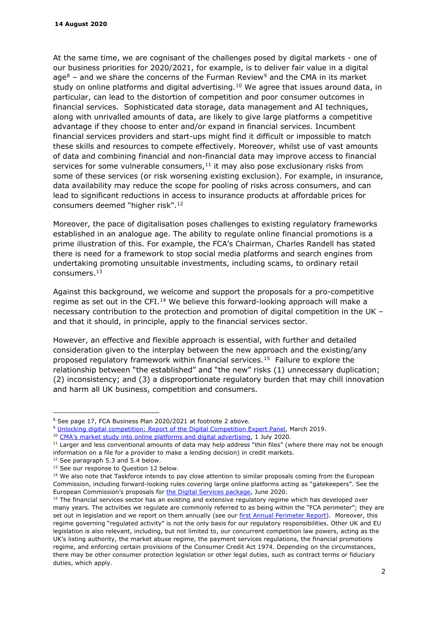<span id="page-1-8"></span>At the same time, we are cognisant of the challenges posed by digital markets - one of our business priorities for 2020/2021, for example, is to deliver fair value in a digital age $8$  – and we share the concerns of the Furman Review $9$  and the CMA in its market study on online platforms and digital advertising.<sup>[10](#page-1-2)</sup> We agree that issues around data, in particular, can lead to the distortion of competition and poor consumer outcomes in financial services. Sophisticated data storage, data management and AI techniques, along with unrivalled amounts of data, are likely to give large platforms a competitive advantage if they choose to enter and/or expand in financial services. Incumbent financial services providers and start-ups might find it difficult or impossible to match these skills and resources to compete effectively. Moreover, whilst use of vast amounts of data and combining financial and non-financial data may improve access to financial services for some vulnerable consumers, $11$  it may also pose exclusionary risks from some of these services (or risk worsening existing exclusion). For example, in insurance, data availability may reduce the scope for pooling of risks across consumers, and can lead to significant reductions in access to insurance products at affordable prices for consumers deemed "higher risk".[12](#page-1-4) 

<span id="page-1-9"></span>Moreover, the pace of digitalisation poses challenges to existing regulatory frameworks established in an analogue age. The ability to regulate online financial promotions is a prime illustration of this. For example, the FCA's Chairman, Charles Randell has stated there is need for a framework to stop social media platforms and search engines from undertaking promoting unsuitable investments, including scams, to ordinary retail consumers.[13](#page-1-5) 

Against this background, we welcome and support the proposals for a pro-competitive regime as set out in the CFI.<sup>[14](#page-1-6)</sup> We believe this forward-looking approach will make a necessary contribution to the protection and promotion of digital competition in the UK – and that it should, in principle, apply to the financial services sector.

However, an effective and flexible approach is essential, with further and detailed consideration given to the interplay between the new approach and the existing/any proposed regulatory framework within financial services.[15](#page-1-7) Failure to explore the relationship between "the established" and "the new" risks (1) unnecessary duplication; (2) inconsistency; and (3) a disproportionate regulatory burden that may chill innovation and harm all UK business, competition and consumers.

<span id="page-1-0"></span><sup>&</sup>lt;sup>8</sup> See page 17, FCA Business Plan 2020/2021 at footnote 2 above.

<span id="page-1-1"></span><sup>&</sup>lt;sup>9</sup> [Unlocking digital competition: Report of the Digital Competition Expert Panel,](https://assets.publishing.service.gov.uk/government/uploads/system/uploads/attachment_data/file/785547/unlocking_digital_competition_furman_review_web.pdf) March 2019.

<span id="page-1-2"></span><sup>&</sup>lt;sup>10</sup> [CMA's market study into online platforms and digital advertising,](https://assets.publishing.service.gov.uk/media/5efc57ed3a6f4023d242ed56/Final_report_1_July_2020_.pdf) 1 July 2020.

<span id="page-1-3"></span><sup>&</sup>lt;sup>11</sup> Larger and less conventional amounts of data may help address "thin files" (where there may not be enough information on a file for a provider to make a lending decision) in credit markets.

<span id="page-1-5"></span><span id="page-1-4"></span><sup>&</sup>lt;sup>12</sup> See paragraph 5.3 and 5.4 below.<br><sup>13</sup> See our response to Question 12 below.

<span id="page-1-6"></span><sup>&</sup>lt;sup>14</sup> We also note that Taskforce intends to pay close attention to similar proposals coming from the European Commission, including forward-looking rules covering large online platforms acting as "gatekeepers". See the European Commission's proposals for [the Digital Services package,](https://ec.europa.eu/digital-single-market/en/digital-services-act-package) June 2020.

<span id="page-1-7"></span><sup>&</sup>lt;sup>15</sup> The financial services sector has an existing and extensive regulatory regime which has developed over many years. The activities we regulate are commonly referred to as being within the "FCA perimeter"; they are set out in legislation and we report on them annually (see our [first Annual Perimeter Report\)](https://www.fca.org.uk/news/press-releases/fca-publishes-first-annual-report-perimeter). Moreover, this regime governing "regulated activity" is not the only basis for our regulatory responsibilities. Other UK and EU legislation is also relevant, including, but not limited to, our concurrent competition law powers, acting as the UK's listing authority, the market abuse regime, the payment services regulations, the financial promotions regime, and enforcing certain provisions of the Consumer Credit Act 1974. Depending on the circumstances, there may be other consumer protection legislation or other legal duties, such as contract terms or fiduciary duties, which apply.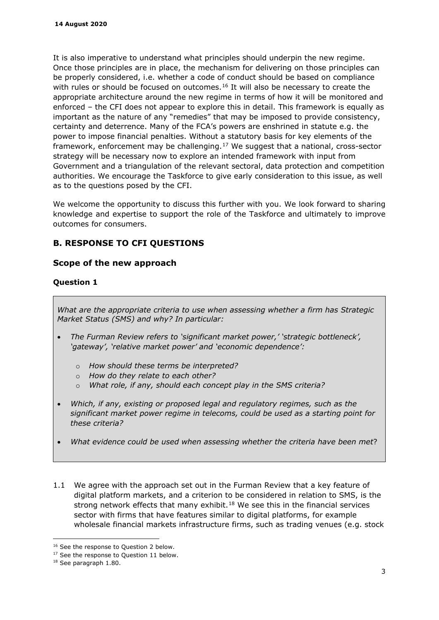It is also imperative to understand what principles should underpin the new regime. Once those principles are in place, the mechanism for delivering on those principles can be properly considered, i.e. whether a code of conduct should be based on compliance with rules or should be focused on outcomes.<sup>[16](#page-2-0)</sup> It will also be necessary to create the appropriate architecture around the new regime in terms of how it will be monitored and enforced – the CFI does not appear to explore this in detail. This framework is equally as important as the nature of any "remedies" that may be imposed to provide consistency, certainty and deterrence. Many of the FCA's powers are enshrined in statute e.g. the power to impose financial penalties. Without a statutory basis for key elements of the framework, enforcement may be challenging.[17](#page-2-1) We suggest that a national, cross-sector strategy will be necessary now to explore an intended framework with input from Government and a triangulation of the relevant sectoral, data protection and competition authorities. We encourage the Taskforce to give early consideration to this issue, as well as to the questions posed by the CFI.

We welcome the opportunity to discuss this further with you. We look forward to sharing knowledge and expertise to support the role of the Taskforce and ultimately to improve outcomes for consumers.

# **B. RESPONSE TO CFI QUESTIONS**

# **Scope of the new approach**

# **Question 1**

*What are the appropriate criteria to use when assessing whether a firm has Strategic Market Status (SMS) and why? In particular:* 

- *The Furman Review refers to 'significant market power,' 'strategic bottleneck', 'gateway', 'relative market power' and 'economic dependence':* 
	- o *How should these terms be interpreted?*
	- o *How do they relate to each other?*
	- o *What role, if any, should each concept play in the SMS criteria?*
- *Which, if any, existing or proposed legal and regulatory regimes, such as the significant market power regime in telecoms, could be used as a starting point for these criteria?*
- *What evidence could be used when assessing whether the criteria have been met*?
- 1.1 We agree with the approach set out in the Furman Review that a key feature of digital platform markets, and a criterion to be considered in relation to SMS, is the strong network effects that many exhibit.<sup>[18](#page-2-2)</sup> We see this in the financial services sector with firms that have features similar to digital platforms, for example wholesale financial markets infrastructure firms, such as trading venues (e.g. stock

<span id="page-2-0"></span><sup>&</sup>lt;sup>16</sup> See the response to Question 2 below.<br><sup>17</sup> See the response to Question 11 below.

<span id="page-2-2"></span><span id="page-2-1"></span><sup>18</sup> See paragraph 1.80.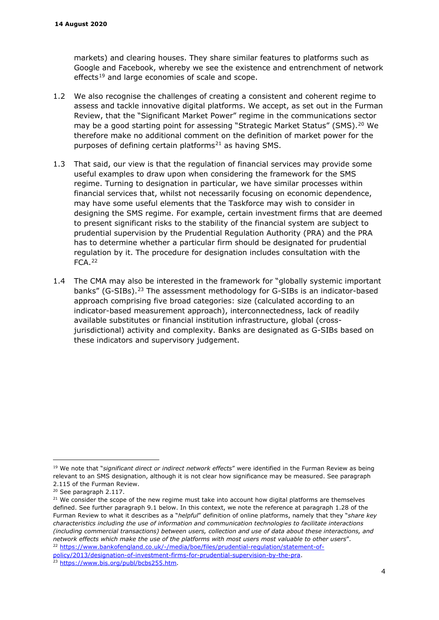markets) and clearing houses. They share similar features to platforms such as Google and Facebook, whereby we see the existence and entrenchment of network effects<sup>[19](#page-3-0)</sup> and large economies of scale and scope.

- 1.2 We also recognise the challenges of creating a consistent and coherent regime to assess and tackle innovative digital platforms. We accept, as set out in the Furman Review, that the "Significant Market Power" regime in the communications sector may be a good starting point for assessing "Strategic Market Status" (SMS).<sup>[20](#page-3-1)</sup> We therefore make no additional comment on the definition of market power for the purposes of defining certain platforms<sup>[21](#page-3-2)</sup> as having SMS.
- <span id="page-3-5"></span>1.3 That said, our view is that the regulation of financial services may provide some useful examples to draw upon when considering the framework for the SMS regime. Turning to designation in particular, we have similar processes within financial services that, whilst not necessarily focusing on economic dependence, may have some useful elements that the Taskforce may wish to consider in designing the SMS regime. For example, certain investment firms that are deemed to present significant risks to the stability of the financial system are subject to prudential supervision by the Prudential Regulation Authority (PRA) and the PRA has to determine whether a particular firm should be designated for prudential regulation by it. The procedure for designation includes consultation with the FCA.[22](#page-3-3)
- 1.4 The CMA may also be interested in the framework for "globally systemic important banks" (G-SIBs).[23](#page-3-4) The assessment methodology for G-SIBs is an indicator-based approach comprising five broad categories: size (calculated according to an indicator-based measurement approach), interconnectedness, lack of readily available substitutes or financial institution infrastructure, global (crossjurisdictional) activity and complexity. Banks are designated as G-SIBs based on these indicators and supervisory judgement.

<span id="page-3-0"></span><sup>19</sup> We note that "*significant direct or indirect network effects*" were identified in the Furman Review as being relevant to an SMS designation, although it is not clear how significance may be measured. See paragraph 2.115 of the Furman Review.

<sup>&</sup>lt;sup>20</sup> See paragraph 2.117.

<span id="page-3-2"></span><span id="page-3-1"></span><sup>&</sup>lt;sup>21</sup> We consider the scope of the new regime must take into account how digital platforms are themselves defined. See further paragraph [9.1](#page-18-0) below. In this context, we note the reference at paragraph 1.28 of the Furman Review to what it describes as a "*helpful*" definition of online platforms, namely that they "*share key characteristics including the use of information and communication technologies to facilitate interactions (including commercial transactions) between users, collection and use of data about these interactions, and network effects which make the use of the platforms with most users most valuable to other users"*.<br><sup>22</sup> [https://www.bankofengland.co.uk/-/media/boe/files/prudential-regulation/statement-of-](https://www.bankofengland.co.uk/-/media/boe/files/prudential-regulation/statement-of-policy/2013/designation-of-investment-firms-for-prudential-supervision-by-the-pra)

<span id="page-3-3"></span>[policy/2013/designation-of-investment-firms-for-prudential-supervision-by-the-pra.](https://www.bankofengland.co.uk/-/media/boe/files/prudential-regulation/statement-of-policy/2013/designation-of-investment-firms-for-prudential-supervision-by-the-pra) 23 [https://www.bis.org/publ/bcbs255.htm.](https://www.bis.org/publ/bcbs255.htm)

<span id="page-3-4"></span>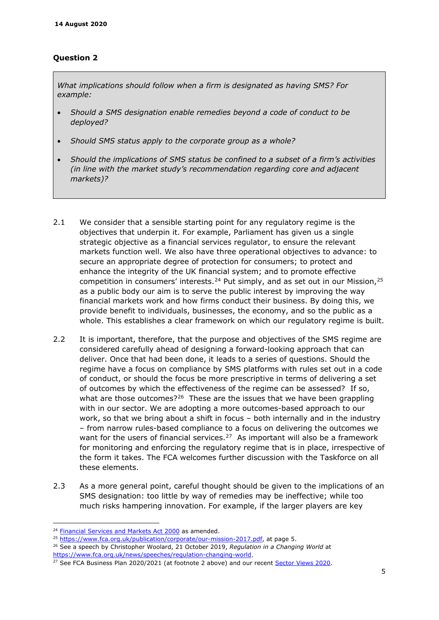# **Question 2**

*What implications should follow when a firm is designated as having SMS? For example:* 

- *Should a SMS designation enable remedies beyond a code of conduct to be deployed?*
- *Should SMS status apply to the corporate group as a whole?*
- *Should the implications of SMS status be confined to a subset of a firm's activities (in line with the market study's recommendation regarding core and adjacent markets)?*
- 2.1 We consider that a sensible starting point for any regulatory regime is the objectives that underpin it. For example, Parliament has given us a single strategic objective as a financial services regulator, to ensure the relevant markets function well. We also have three operational objectives to advance: to secure an appropriate degree of protection for consumers; to protect and enhance the integrity of the UK financial system; and to promote effective competition in consumers' interests.<sup>[24](#page-4-0)</sup> Put simply, and as set out in our Mission,<sup>[25](#page-4-1)</sup> as a public body our aim is to serve the public interest by improving the way financial markets work and how firms conduct their business. By doing this, we provide benefit to individuals, businesses, the economy, and so the public as a whole. This establishes a clear framework on which our regulatory regime is built.
- 2.2 It is important, therefore, that the purpose and objectives of the SMS regime are considered carefully ahead of designing a forward-looking approach that can deliver. Once that had been done, it leads to a series of questions. Should the regime have a focus on compliance by SMS platforms with rules set out in a code of conduct, or should the focus be more prescriptive in terms of delivering a set of outcomes by which the effectiveness of the regime can be assessed? If so, what are those outcomes?<sup>[26](#page-4-2)</sup> These are the issues that we have been grappling with in our sector. We are adopting a more outcomes-based approach to our work, so that we bring about a shift in focus – both internally and in the industry – from narrow rules-based compliance to a focus on delivering the outcomes we want for the users of financial services.<sup>27</sup> As important will also be a framework for monitoring and enforcing the regulatory regime that is in place, irrespective of the form it takes. The FCA welcomes further discussion with the Taskforce on all these elements.
- 2.3 As a more general point, careful thought should be given to the implications of an SMS designation: too little by way of remedies may be ineffective; while too much risks hampering innovation. For example, if the larger players are key

<span id="page-4-0"></span><sup>24</sup> Financial Services and Markets Act 2000 as amended.<br><sup>25</sup> [https://www.fca.org.uk/publication/corporate/our-mission-2017.pdf,](https://www.fca.org.uk/publication/corporate/our-mission-2017.pdf) at page 5.<br><sup>26</sup> See a speech by Christopher Woolard, 21 October 2019, Regulation in a Changin

<span id="page-4-1"></span>

<span id="page-4-3"></span><span id="page-4-2"></span>[https://www.fca.org.uk/news/speeches/regulation-changing-world.](https://www.fca.org.uk/news/speeches/regulation-changing-world)<br><sup>27</sup> See FCA Business Plan 2020/2021 (at footnote 2 above) and our recent [Sector Views 2020.](https://www.fca.org.uk/publications/corporate-documents/sector-views-published-february-2020)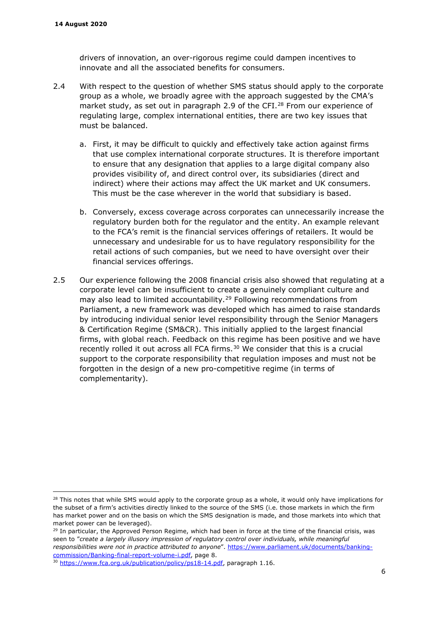drivers of innovation, an over-rigorous regime could dampen incentives to innovate and all the associated benefits for consumers.

- 2.4 With respect to the question of whether SMS status should apply to the corporate group as a whole, we broadly agree with the approach suggested by the CMA's market study, as set out in paragraph 2.9 of the CFI. $^{28}$  $^{28}$  $^{28}$  From our experience of regulating large, complex international entities, there are two key issues that must be balanced.
	- a. First, it may be difficult to quickly and effectively take action against firms that use complex international corporate structures. It is therefore important to ensure that any designation that applies to a large digital company also provides visibility of, and direct control over, its subsidiaries (direct and indirect) where their actions may affect the UK market and UK consumers. This must be the case wherever in the world that subsidiary is based.
	- b. Conversely, excess coverage across corporates can unnecessarily increase the regulatory burden both for the regulator and the entity. An example relevant to the FCA's remit is the financial services offerings of retailers. It would be unnecessary and undesirable for us to have regulatory responsibility for the retail actions of such companies, but we need to have oversight over their financial services offerings.
- 2.5 Our experience following the 2008 financial crisis also showed that regulating at a corporate level can be insufficient to create a genuinely compliant culture and may also lead to limited accountability.<sup>[29](#page-5-1)</sup> Following recommendations from Parliament, a new framework was developed which has aimed to raise standards by introducing individual senior level responsibility through the Senior Managers & Certification Regime [\(SM&CR\)](https://www.fca.org.uk/publication/policy/guide-for-fca-solo-regulated-firms.pdf). This initially applied to the largest financial firms, with global reach. Feedback on this regime has been positive and we have recently rolled it out across all FCA firms.<sup>[30](#page-5-2)</sup> We consider that this is a crucial support to the corporate responsibility that regulation imposes and must not be forgotten in the design of a new pro-competitive regime (in terms of complementarity).

<span id="page-5-0"></span><sup>&</sup>lt;sup>28</sup> This notes that while SMS would apply to the corporate group as a whole, it would only have implications for the subset of a firm's activities directly linked to the source of the SMS (i.e. those markets in which the firm has market power and on the basis on which the SMS designation is made, and those markets into which that market power can be leveraged).

<span id="page-5-1"></span><sup>&</sup>lt;sup>29</sup> In particular, the Approved Person Regime, which had been in force at the time of the financial crisis, was seen to "*create a largely illusory impression of regulatory control over individuals, while meaningful responsibilities were not in practice attributed to anyone*". [https://www.parliament.uk/documents/banking](https://www.parliament.uk/documents/banking-commission/Banking-final-report-volume-i.pdf)[commission/Banking-final-report-volume-i.pdf,](https://www.parliament.uk/documents/banking-commission/Banking-final-report-volume-i.pdf) page 8.

<span id="page-5-2"></span><sup>&</sup>lt;sup>30</sup> [https://www.fca.org.uk/publication/policy/ps18-14.pdf,](https://www.fca.org.uk/publication/policy/ps18-14.pdf) paragraph 1.16.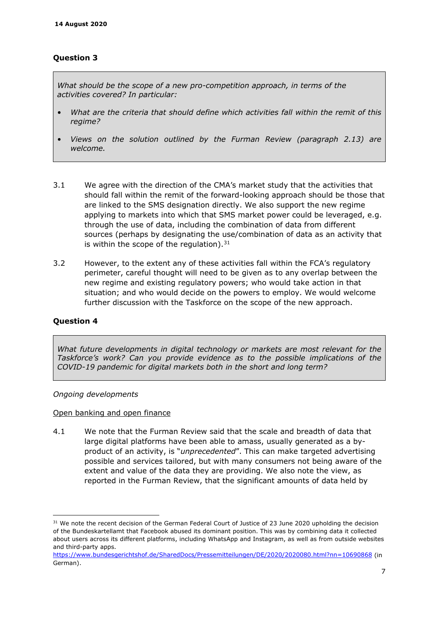# **Question 3**

*What should be the scope of a new pro-competition approach, in terms of the activities covered? In particular:* 

- *What are the criteria that should define which activities fall within the remit of this regime?*
- *Views on the solution outlined by the Furman Review (paragraph 2.13) are welcome.*
- 3.1 We agree with the direction of the CMA's market study that the activities that should fall within the remit of the forward-looking approach should be those that are linked to the SMS designation directly. We also support the new regime applying to markets into which that SMS market power could be leveraged, e.g. through the use of data, including the combination of data from different sources (perhaps by designating the use/combination of data as an activity that is within the scope of the regulation).  $31$
- 3.2 However, to the extent any of these activities fall within the FCA's regulatory perimeter, careful thought will need to be given as to any overlap between the new regime and existing regulatory powers; who would take action in that situation; and who would decide on the powers to employ. We would welcome further discussion with the Taskforce on the scope of the new approach.

### **Question 4**

*What future developments in digital technology or markets are most relevant for the Taskforce's work? Can you provide evidence as to the possible implications of the COVID-19 pandemic for digital markets both in the short and long term?* 

#### *Ongoing developments*

#### Open banking and open finance

4.1 We note that the Furman Review said that the scale and breadth of data that large digital platforms have been able to amass, usually generated as a byproduct of an activity, is "*unprecedented*". This can make targeted advertising possible and services tailored, but with many consumers not being aware of the extent and value of the data they are providing. We also note the view, as reported in the Furman Review, that the significant amounts of data held by

<span id="page-6-0"></span><sup>&</sup>lt;sup>31</sup> We note the recent decision of the German Federal Court of Justice of 23 June 2020 upholding the decision of the Bundeskartellamt that Facebook abused its dominant position. This was by combining data it collected about users across its different platforms, including WhatsApp and Instagram, as well as from outside websites and third-party apps.

<https://www.bundesgerichtshof.de/SharedDocs/Pressemitteilungen/DE/2020/2020080.html?nn=10690868> (in German).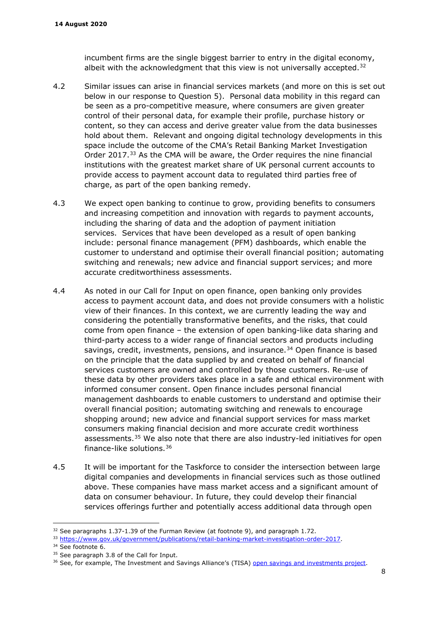incumbent firms are the single biggest barrier to entry in the digital economy, albeit with the acknowledgment that this view is not universally accepted. $32$ 

- 4.2 Similar issues can arise in financial services markets (and more on this is set out below in our response to Question 5). Personal data mobility in this regard can be seen as a pro-competitive measure, where consumers are given greater control of their personal data, for example their profile, purchase history or content, so they can access and derive greater value from the data businesses hold about them. Relevant and ongoing digital technology developments in this space include the outcome of the CMA's Retail Banking Market Investigation Order 2017.<sup>[33](#page-7-2)</sup> As the CMA will be aware, the Order requires the nine financial institutions with the greatest market share of UK personal current accounts to provide access to payment account data to regulated third parties free of charge, as part of the open banking remedy.
- 4.3 We expect open banking to continue to grow, providing benefits to consumers and increasing competition and innovation with regards to payment accounts, including the sharing of data and the adoption of payment initiation services. Services that have been developed as a result of open banking include: personal finance management (PFM) dashboards, which enable the customer to understand and optimise their overall financial position; automating switching and renewals; new advice and financial support services; and more accurate creditworthiness assessments.
- <span id="page-7-0"></span>4.4 As noted in our Call for Input on open finance, open banking only provides access to payment account data, and does not provide consumers with a holistic view of their finances. In this context, we are currently leading the way and considering the potentially transformative benefits, and the risks, that could come from open finance – the extension of open banking-like data sharing and third-party access to a wider range of financial sectors and products including savings, credit, investments, pensions, and insurance.<sup>[34](#page-7-3)</sup> Open finance is based on the principle that the data supplied by and created on behalf of financial services customers are owned and controlled by those customers. Re-use of these data by other providers takes place in a safe and ethical environment with informed consumer consent. Open finance includes personal financial management dashboards to enable customers to understand and optimise their overall financial position; automating switching and renewals to encourage shopping around; new advice and financial support services for mass market consumers making financial decision and more accurate credit worthiness assessments.<sup>[35](#page-7-4)</sup> We also note that there are also industry-led initiatives for open finance-like solutions.[36](#page-7-5)
- 4.5 It will be important for the Taskforce to consider the intersection between large digital companies and developments in financial services such as those outlined above. These companies have mass market access and a significant amount of data on consumer behaviour. In future, they could develop their financial services offerings further and potentially access additional data through open

<span id="page-7-1"></span> $32$  See paragraphs 1.37-1.39 of the Furman Review (at footnote [9\)](#page-1-8), and paragraph 1.72.

<span id="page-7-3"></span><span id="page-7-2"></span> $\frac{33 \text{ https://www.gov.uk/government/publications/retail-banking-market-investigation-order-2017}}{34 \text{ See footnote 6}}$ <br>34 See footnote [6.](#page-0-8)<br> $\frac{35 \text{ See paragraph 3.8 of the Call for Input}}{35 \text{ See } 24 \text{ See } 35}$ <br>35 See paragraph 3.8 of the Call for Input.

<span id="page-7-4"></span>

<span id="page-7-5"></span>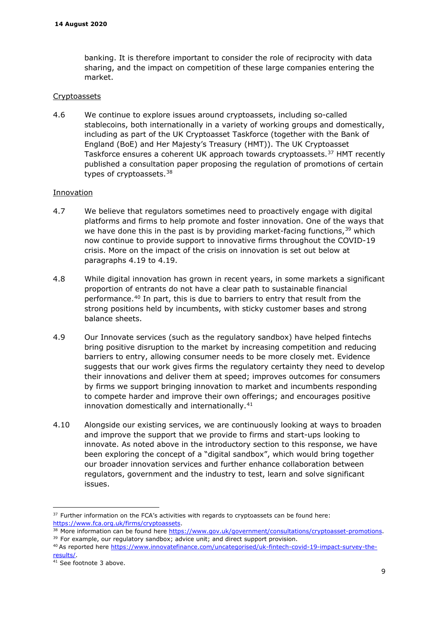banking. It is therefore important to consider the role of reciprocity with data sharing, and the impact on competition of these large companies entering the market.

#### Cryptoassets

4.6 We continue to explore issues around cryptoassets, including so-called stablecoins, both internationally in a variety of working groups and domestically, including as part of the UK Cryptoasset Taskforce (together with the Bank of England (BoE) and Her Majesty's Treasury (HMT)). The UK Cryptoasset Taskforce ensures a coherent UK approach towards cryptoassets.<sup>[37](#page-8-0)</sup> HMT recently published a consultation paper proposing the regulation of promotions of certain types of cryptoassets.<sup>[38](#page-8-1)</sup>

#### Innovation

- 4.7 We believe that regulators sometimes need to proactively engage with digital platforms and firms to help promote and foster innovation. One of the ways that we have done this in the past is by providing market-facing functions,  $39$  which now continue to provide support to innovative firms throughout the COVID-19 crisis. More on the impact of the crisis on innovation is set out below at paragraphs [4.19](#page-10-0) to [4.19.](#page-10-0)
- 4.8 While digital innovation has grown in recent years, in some markets a significant proportion of entrants do not have a clear path to sustainable financial performance.[40](#page-8-3) In part, this is due to barriers to entry that result from the strong positions held by incumbents, with sticky customer bases and strong balance sheets.
- 4.9 Our Innovate services (such as the regulatory sandbox) have helped fintechs bring positive disruption to the market by increasing competition and reducing barriers to entry, allowing consumer needs to be more closely met. Evidence suggests that our work gives firms the regulatory certainty they need to develop their innovations and deliver them at speed; improves outcomes for consumers by firms we support bringing innovation to market and incumbents responding to compete harder and improve their own offerings; and encourages positive innovation domestically and internationally.<sup>[41](#page-8-4)</sup>
- 4.10 Alongside our existing services, we are continuously looking at ways to broaden and improve the support that we provide to firms and start-ups looking to innovate. As noted above in the introductory section to this response, we have been exploring the concept of a "digital sandbox", which would bring together our broader innovation services and further enhance collaboration between regulators, government and the industry to test, learn and solve significant issues.

<span id="page-8-0"></span><sup>&</sup>lt;sup>37</sup> Further information on the FCA's activities with regards to cryptoassets can be found here: [https://www.fca.org.uk/firms/cryptoassets.](https://www.fca.org.uk/firms/cryptoassets)

<span id="page-8-1"></span><sup>&</sup>lt;sup>38</sup> More information can be found here  $\frac{https://www.gov.uk/government/consultations/cryptoasset-promotions}{39}$  For example, our regulatory sandbox; advice unit; and direct support provision.

<span id="page-8-3"></span><span id="page-8-2"></span><sup>40</sup> As reported here [https://www.innovatefinance.com/uncategorised/uk-fintech-covid-19-impact-survey-the](https://www.innovatefinance.com/uncategorised/uk-fintech-covid-19-impact-survey-the-results/)[results/.](https://www.innovatefinance.com/uncategorised/uk-fintech-covid-19-impact-survey-the-results/)

<span id="page-8-4"></span> $41$  See footnote [3](#page-0-9) above.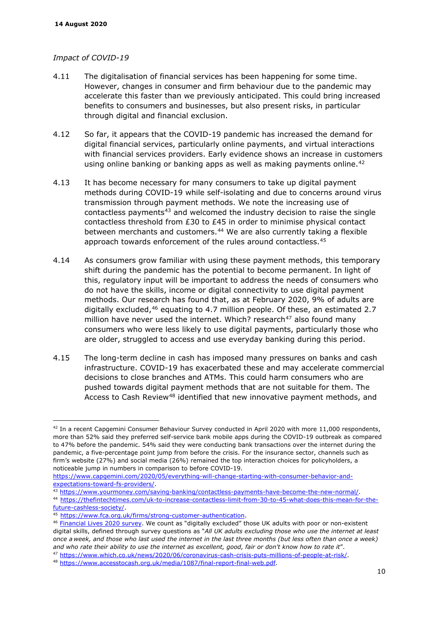#### *Impact of COVID-19*

- <span id="page-9-0"></span>4.11 The digitalisation of financial services has been happening for some time. However, changes in consumer and firm behaviour due to the pandemic may accelerate this faster than we previously anticipated. This could bring increased benefits to consumers and businesses, but also present risks, in particular through digital and financial exclusion.
- 4.12 So far, it appears that the COVID-19 pandemic has increased the demand for digital financial services, particularly online payments, and virtual interactions with financial services providers. Early evidence shows an increase in customers using online banking or banking apps as well as making payments online.<sup>42</sup>
- 4.13 It has become necessary for many consumers to take up digital payment methods during COVID-19 while self-isolating and due to concerns around virus transmission through payment methods. We note the increasing use of contactless payments<sup>[43](#page-9-2)</sup> and welcomed the industry decision to raise the single contactless threshold from  $£30$  to  $£45$  in order to minimise physical contact between merchants and customers.<sup>[44](#page-9-3)</sup> We are also currently taking a flexible approach towards enforcement of the rules around contactless.<sup>[45](#page-9-4)</sup>
- 4.14 As consumers grow familiar with using these payment methods, this temporary shift during the pandemic has the potential to become permanent. In light of this, regulatory input will be important to address the needs of consumers who do not have the skills, income or digital connectivity to use digital payment methods. Our research has found that, as at February 2020, 9% of adults are digitally excluded,  $46$  equating to 4.7 million people. Of these, an estimated 2.7 million have never used the internet. Which? research $47$  also found many consumers who were less likely to use digital payments, particularly those who are older, struggled to access and use everyday banking during this period.
- 4.15 The long-term decline in cash has imposed many pressures on banks and cash infrastructure. COVID-19 has exacerbated these and may accelerate commercial decisions to close branches and ATMs. This could harm consumers who are pushed towards digital payment methods that are not suitable for them. The Access to Cash Review<sup>[48](#page-9-7)</sup> identified that new innovative payment methods, and

<span id="page-9-1"></span><sup>&</sup>lt;sup>42</sup> In a recent Capgemini Consumer Behaviour Survey conducted in April 2020 with more 11,000 respondents, more than 52% said they preferred self-service bank mobile apps during the COVID-19 outbreak as compared to 47% before the pandemic. 54% said they were conducting bank transactions over the internet during the pandemic, a five-percentage point jump from before the crisis. For the insurance sector, channels such as firm's website (27%) and social media (26%) remained the top interaction choices for policyholders, a noticeable jump in numbers in comparison to before COVID-19.

[https://www.capgemini.com/2020/05/everything-will-change-starting-with-consumer-behavior-and](https://www.capgemini.com/2020/05/everything-will-change-starting-with-consumer-behavior-and-expectations-toward-fs-providers/)expectations-toward-fs-providers/<br>
<sup>43</sup> https://www.yourmoney.com/saving-banking/contactless-payments-have-become-the-new-normal/<br>
<sup>44</sup> https://thefintechtimes.c<u>om/uk-to-increase-contactless-limit-from-30-to-45-what-does-</u>

<span id="page-9-3"></span><span id="page-9-2"></span>[future-cashless-society/.](https://thefintechtimes.com/uk-to-increase-contactless-limit-from-30-to-45-what-does-this-mean-for-the-future-cashless-society/) 45 [https://www.fca.org.uk/firms/strong-customer-authentication.](https://www.fca.org.uk/firms/strong-customer-authentication)

<span id="page-9-5"></span><span id="page-9-4"></span><sup>46</sup> [Financial Lives 2020 survey.](https://www.fca.org.uk/publications/research/understanding-financial-lives-uk-adults) We count as "digitally excluded" those UK adults with poor or non-existent digital skills, defined through survey questions as "*All UK adults excluding those who use the internet at least once a week, and those who last used the internet in the last three months (but less often than once a week)*  and who rate their ability to use the internet as excellent, good, fair or don't know how to rate it".<br><sup>47</sup> [https://www.which.co.uk/news/2020/06/coronavirus-cash-crisis-puts-millions-of-people-at-risk/.](https://www.which.co.uk/news/2020/06/coronavirus-cash-crisis-puts-millions-of-people-at-risk/)<br><sup>48</sup> https://www.ac

<span id="page-9-6"></span>

<span id="page-9-7"></span>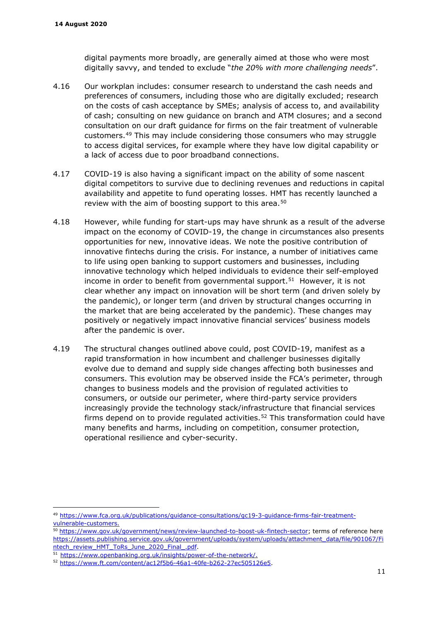digital payments more broadly, are generally aimed at those who were most digitally savvy, and tended to exclude "*the 20% with more challenging needs*".

- 4.16 Our workplan includes: consumer research to understand the cash needs and preferences of consumers, including those who are digitally excluded; research on the costs of cash acceptance by SMEs; analysis of access to, and availability of cash; consulting on new guidance on branch and ATM closures; and a second consultation on our draft guidance for firms on the fair treatment of vulnerable customers.[49](#page-10-1) This may include considering those consumers who may struggle to access digital services, for example where they have low digital capability or a lack of access due to poor broadband connections.
- 4.17 COVID-19 is also having a significant impact on the ability of some nascent digital competitors to survive due to declining revenues and reductions in capital availability and appetite to fund operating losses. HMT has recently launched a review with the aim of boosting support to this area. $50$
- 4.18 However, while funding for start-ups may have shrunk as a result of the adverse impact on the economy of COVID-19, the change in circumstances also presents opportunities for new, innovative ideas. We note the positive contribution of innovative fintechs during the crisis. For instance, a number of initiatives came to life using open banking to support customers and businesses, including innovative technology which helped individuals to evidence their self-employed income in order to benefit from governmental support.<sup>[51](#page-10-3)</sup> However, it is not clear whether any impact on innovation will be short term (and driven solely by the pandemic), or longer term (and driven by structural changes occurring in the market that are being accelerated by the pandemic). These changes may positively or negatively impact innovative financial services' business models after the pandemic is over.
- <span id="page-10-0"></span>4.19 The structural changes outlined above could, post COVID-19, manifest as a rapid transformation in how incumbent and challenger businesses digitally evolve due to demand and supply side changes affecting both businesses and consumers. This evolution may be observed inside the FCA's perimeter, through changes to business models and the provision of regulated activities to consumers, or outside our perimeter, where third-party service providers increasingly provide the technology stack/infrastructure that financial services firms depend on to provide regulated activities.<sup>[52](#page-10-4)</sup> This transformation could have many benefits and harms, including on competition, consumer protection, operational resilience and cyber-security.

<span id="page-10-1"></span><sup>49</sup> https://www.fca.org.uk/publications/guidance-consultations/gc19-3-guidance-firms-fair-treatment-<br>vulnerable-customers.

<span id="page-10-2"></span><sup>50</sup> [https://www.gov.uk/government/news/review-launched-to-boost-uk-fintech-sector;](https://www.gov.uk/government/news/review-launched-to-boost-uk-fintech-sector) terms of reference here [https://assets.publishing.service.gov.uk/government/uploads/system/uploads/attachment\\_data/file/901067/Fi](https://assets.publishing.service.gov.uk/government/uploads/system/uploads/attachment_data/file/901067/Fintech_review_HMT_ToRs_June_2020_Final_.pdf) [ntech\\_review\\_HMT\\_ToRs\\_June\\_2020\\_Final\\_.pdf.](https://assets.publishing.service.gov.uk/government/uploads/system/uploads/attachment_data/file/901067/Fintech_review_HMT_ToRs_June_2020_Final_.pdf)<br>
51 [https://www.openbanking.org.uk/insights/power-of-the-network/.](https://www.openbanking.org.uk/insights/power-of-the-network/)<br>
52 [https://www.ft.com/content/ac12f5b6-46a1-40fe-b262-27ec505126e5.](https://www.ft.com/content/ac12f5b6-46a1-40fe-b262-27ec505126e5)

<span id="page-10-3"></span>

<span id="page-10-4"></span>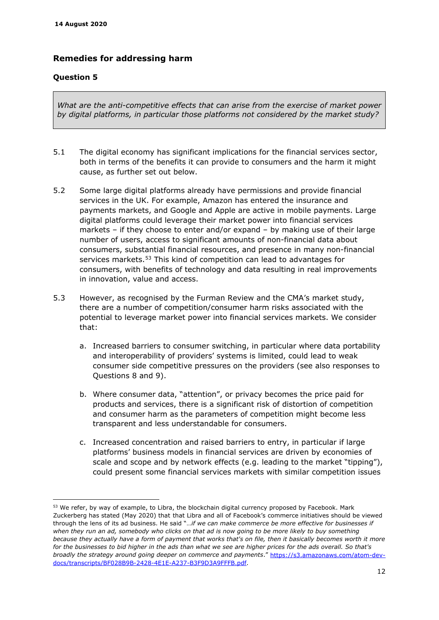# **Remedies for addressing harm**

### **Question 5**

*What are the anti-competitive effects that can arise from the exercise of market power by digital platforms, in particular those platforms not considered by the market study?* 

- 5.1 The digital economy has significant implications for the financial services sector, both in terms of the benefits it can provide to consumers and the harm it might cause, as further set out below.
- <span id="page-11-0"></span>5.2 Some large digital platforms already have permissions and provide financial services in the UK. For example, Amazon has entered the insurance and payments markets, and Google and Apple are active in mobile payments. Large digital platforms could leverage their market power into financial services markets – if they choose to enter and/or expand – by making use of their large number of users, access to significant amounts of non-financial data about consumers, substantial financial resources, and presence in many non-financial services markets.<sup>[53](#page-11-2)</sup> This kind of competition can lead to advantages for consumers, with benefits of technology and data resulting in real improvements in innovation, value and access.
- <span id="page-11-1"></span>5.3 However, as recognised by the Furman Review and the CMA's market study, there are a number of competition/consumer harm risks associated with the potential to leverage market power into financial services markets. We consider that:
	- a. Increased barriers to consumer switching, in particular where data portability and interoperability of providers' systems is limited, could lead to weak consumer side competitive pressures on the providers (see also responses to Questions 8 and 9).
	- b. Where consumer data, "attention", or privacy becomes the price paid for products and services, there is a significant risk of distortion of competition and consumer harm as the parameters of competition might become less transparent and less understandable for consumers.
	- c. Increased concentration and raised barriers to entry, in particular if large platforms' business models in financial services are driven by economies of scale and scope and by network effects (e.g. leading to the market "tipping"), could present some financial services markets with similar competition issues

<span id="page-11-2"></span><sup>53</sup> We refer, by way of example, to Libra, the blockchain digital currency proposed by Facebook. Mark Zuckerberg has stated (May 2020) that that Libra and all of Facebook's commerce initiatives should be viewed through the lens of its ad business. He said "…*if we can make commerce be more effective for businesses if when they run an ad, somebody who clicks on that ad is now going to be more likely to buy something because they actually have a form of payment that works that's on file, then it basically becomes worth it more for the businesses to bid higher in the ads than what we see are higher prices for the ads overall. So that's broadly the strategy around going deeper on commerce and payments*." [https://s3.amazonaws.com/atom-dev](https://s3.amazonaws.com/atom-dev-docs/transcripts/BF028B9B-2428-4E1E-A237-B3F9D3A9FFFB.pdf)[docs/transcripts/BF028B9B-2428-4E1E-A237-B3F9D3A9FFFB.pdf.](https://s3.amazonaws.com/atom-dev-docs/transcripts/BF028B9B-2428-4E1E-A237-B3F9D3A9FFFB.pdf)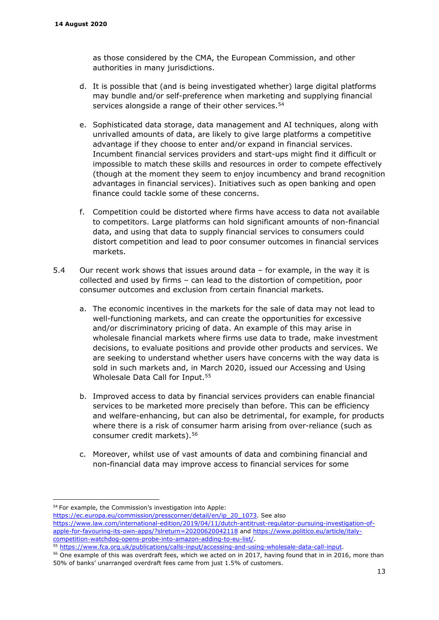as those considered by the CMA, the European Commission, and other authorities in many jurisdictions.

- d. It is possible that (and is being investigated whether) large digital platforms may bundle and/or self-preference when marketing and supplying financial services alongside a range of their other services.<sup>54</sup>
- e. Sophisticated data storage, data management and AI techniques, along with unrivalled amounts of data, are likely to give large platforms a competitive advantage if they choose to enter and/or expand in financial services. Incumbent financial services providers and start-ups might find it difficult or impossible to match these skills and resources in order to compete effectively (though at the moment they seem to enjoy incumbency and brand recognition advantages in financial services). Initiatives such as open banking and open finance could tackle some of these concerns.
- f. Competition could be distorted where firms have access to data not available to competitors. Large platforms can hold significant amounts of non-financial data, and using that data to supply financial services to consumers could distort competition and lead to poor consumer outcomes in financial services markets.
- <span id="page-12-0"></span>5.4 Our recent work shows that issues around data – for example, in the way it is collected and used by firms – can lead to the distortion of competition, poor consumer outcomes and exclusion from certain financial markets.
	- a. The economic incentives in the markets for the sale of data may not lead to well-functioning markets, and can create the opportunities for excessive and/or discriminatory pricing of data. An example of this may arise in wholesale financial markets where firms use data to trade, make investment decisions, to evaluate positions and provide other products and services. We are seeking to understand whether users have concerns with the way data is sold in such markets and, in March 2020, issued our Accessing and Using Wholesale Data Call for Input.[55](#page-12-2)
	- b. Improved access to data by financial services providers can enable financial services to be marketed more precisely than before. This can be efficiency and welfare-enhancing, but can also be detrimental, for example, for products where there is a risk of consumer harm arising from over-reliance (such as consumer credit markets).[56](#page-12-3)
	- c. Moreover, whilst use of vast amounts of data and combining financial and non-financial data may improve access to financial services for some

[https://ec.europa.eu/commission/presscorner/detail/en/ip\\_20\\_1073.](https://ec.europa.eu/commission/presscorner/detail/en/ip_20_1073) See also [https://www.law.com/international-edition/2019/04/11/dutch-antitrust-regulator-pursuing-investigation-of-](https://www.law.com/international-edition/2019/04/11/dutch-antitrust-regulator-pursuing-investigation-of-apple-for-favouring-its-own-apps/?slreturn=20200620042118)

<span id="page-12-1"></span><sup>54</sup> For example, the Commission's investigation into Apple:

[apple-for-favouring-its-own-apps/?slreturn=20200620042118](https://www.law.com/international-edition/2019/04/11/dutch-antitrust-regulator-pursuing-investigation-of-apple-for-favouring-its-own-apps/?slreturn=20200620042118) and [https://www.politico.eu/article/italy](https://www.politico.eu/article/italy-competition-watchdog-opens-probe-into-amazon-adding-to-eu-list/)[competition-watchdog-opens-probe-into-amazon-adding-to-eu-list/.](https://www.politico.eu/article/italy-competition-watchdog-opens-probe-into-amazon-adding-to-eu-list/)<br><sup>55</sup> [https://www.fca.org.uk/publications/calls-input/accessing-and-using-wholesale-data-call-input.](https://www.fca.org.uk/publications/calls-input/accessing-and-using-wholesale-data-call-input)<br><sup>56</sup> One example of this was overdraft fees, which we act

<span id="page-12-2"></span>

<span id="page-12-3"></span><sup>50%</sup> of banks' unarranged overdraft fees came from just 1.5% of customers.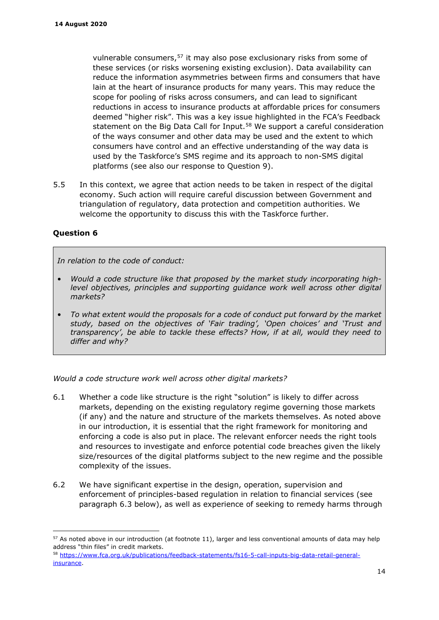vulnerable consumers,[57](#page-13-0) it may also pose exclusionary risks from some of these services (or risks worsening existing exclusion). Data availability can reduce the information asymmetries between firms and consumers that have lain at the heart of insurance products for many years. This may reduce the scope for pooling of risks across consumers, and can lead to significant reductions in access to insurance products at affordable prices for consumers deemed "higher risk". This was a key issue highlighted in the FCA's Feedback statement on the Big Data Call for Input.<sup>[58](#page-13-1)</sup> We support a careful consideration of the ways consumer and other data may be used and the extent to which consumers have control and an effective understanding of the way data is used by the Taskforce's SMS regime and its approach to non-SMS digital platforms (see also our response to Question 9).

5.5 In this context, we agree that action needs to be taken in respect of the digital economy. Such action will require careful discussion between Government and triangulation of regulatory, data protection and competition authorities. We welcome the opportunity to discuss this with the Taskforce further.

### **Question 6**

*In relation to the code of conduct:* 

- *Would a code structure like that proposed by the market study incorporating highlevel objectives, principles and supporting guidance work well across other digital markets?*
- *To what extent would the proposals for a code of conduct put forward by the market study, based on the objectives of 'Fair trading', 'Open choices' and 'Trust and transparency', be able to tackle these effects? How, if at all, would they need to differ and why?*

*Would a code structure work well across other digital markets?*

- 6.1 Whether a code like structure is the right "solution" is likely to differ across markets, depending on the existing regulatory regime governing those markets (if any) and the nature and structure of the markets themselves. As noted above in our introduction, it is essential that the right framework for monitoring and enforcing a code is also put in place. The relevant enforcer needs the right tools and resources to investigate and enforce potential code breaches given the likely size/resources of the digital platforms subject to the new regime and the possible complexity of the issues.
- 6.2 We have significant expertise in the design, operation, supervision and enforcement of principles-based regulation in relation to financial services (see paragraph [6.3](#page-14-0) below), as well as experience of seeking to remedy harms through

<span id="page-13-0"></span><sup>57</sup> As noted above in our introduction (at footnote [11\)](#page-1-9), larger and less conventional amounts of data may help address "thin files" in credit markets.

<span id="page-13-1"></span><sup>58</sup> [https://www.fca.org.uk/publications/feedback-statements/fs16-5-call-inputs-big-data-retail-general](https://www.fca.org.uk/publications/feedback-statements/fs16-5-call-inputs-big-data-retail-general-insurance)[insurance.](https://www.fca.org.uk/publications/feedback-statements/fs16-5-call-inputs-big-data-retail-general-insurance)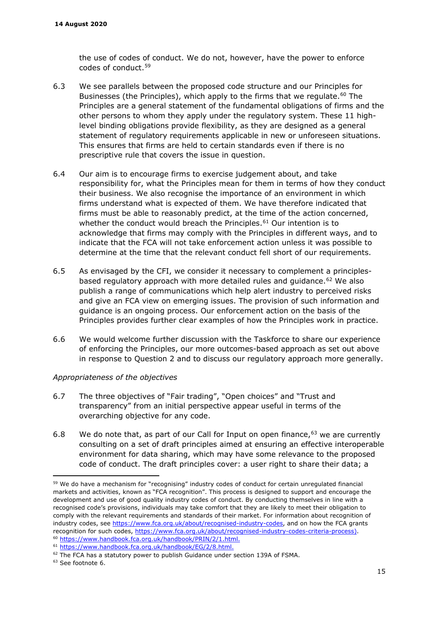the use of codes of conduct. We do not, however, have the power to enforce codes of conduct.[59](#page-14-1)

- <span id="page-14-0"></span>6.3 We see parallels between the proposed code structure and our Principles for Businesses (the Principles), which apply to the firms that we regulate.<sup>[60](#page-14-2)</sup> The Principles are a general statement of the fundamental obligations of firms and the other persons to whom they apply under the regulatory system. These 11 highlevel binding obligations provide flexibility, as they are designed as a general statement of regulatory requirements applicable in new or unforeseen situations. This ensures that firms are held to certain standards even if there is no prescriptive rule that covers the issue in question.
- 6.4 Our aim is to encourage firms to exercise judgement about, and take responsibility for, what the [Principles](https://www.handbook.fca.org.uk/handbook/glossary/G910.html) mean for them in terms of how they conduct their business. We also recognise the importance of an environment in which [firms](https://www.handbook.fca.org.uk/handbook/glossary/G430.html) understand what is expected of them. We have therefore indicated that [firms](https://www.handbook.fca.org.uk/handbook/glossary/G430.html) must be able to reasonably predict, at the time of the action concerned, whether the conduct would breach the [Principles.](https://www.handbook.fca.org.uk/handbook/glossary/G910.html)<sup>[61](#page-14-3)</sup> Our intention is to acknowledge that firms may comply with the [Principles](https://www.handbook.fca.org.uk/handbook/glossary/G910.html) in different ways, and to indicate that the [FCA](https://www.handbook.fca.org.uk/handbook/glossary/G2974.html) will not take enforcement action unless it was possible to determine at the time that the relevant conduct fell short of our requirements.
- 6.5 As envisaged by the CFI, we consider it necessary to complement a principles-based regulatory approach with more detailed rules and guidance.<sup>[62](#page-14-4)</sup> We also publish a range of communications which help alert industry to perceived risks and give an FCA view on emerging issues. The provision of such information and guidance is an ongoing process. Our enforcement action on the basis of the Principles provides further clear examples of how the Principles work in practice.
- 6.6 We would welcome further discussion with the Taskforce to share our experience of enforcing the Principles, our more outcomes-based approach as set out above in response to Question 2 and to discuss our regulatory approach more generally.

#### *Appropriateness of the objectives*

- 6.7 The three objectives of "Fair trading", "Open choices" and "Trust and transparency" from an initial perspective appear useful in terms of the overarching objective for any code.
- 6.8 We do note that, as part of our Call for Input on open finance, $63$  we are currently consulting on a set of draft principles aimed at ensuring an effective interoperable environment for data sharing, which may have some relevance to the proposed code of conduct. The draft principles cover: a user right to share their data; a

<span id="page-14-1"></span><sup>&</sup>lt;sup>59</sup> We do have a mechanism for "recognising" industry codes of conduct for certain unregulated financial markets and activities, known as "FCA recognition". This process is designed to support and encourage the development and use of good quality industry codes of conduct. By conducting themselves in line with a recognised code's provisions, individuals may take comfort that they are likely to meet their obligation to comply with the relevant requirements and standards of their market. For information about recognition of industry codes, see [https://www.fca.org.uk/about/recognised-industry-codes,](https://www.fca.org.uk/about/recognised-industry-codes) and on how the FCA grants recognition for such codes, [https://www.fca.org.uk/about/recognised-industry-codes-criteria-process\)](https://www.fca.org.uk/about/recognised-industry-codes-criteria-process). 60 [https://www.handbook.fca.org.uk/handbook/PRIN/2/1.html.](https://www.handbook.fca.org.uk/handbook/PRIN/2/1.html) 61 [https://www.handbook.fca.org.uk/handbook/EG/2/8.html.](https://www.handbook.fca.org.uk/handbook/EG/2/8.html)

<span id="page-14-3"></span><span id="page-14-2"></span>

<span id="page-14-5"></span><span id="page-14-4"></span> $62$  The FCA has a statutory power to publish Guidance under section 139A of FSMA.<br> $63$  See footnote 6.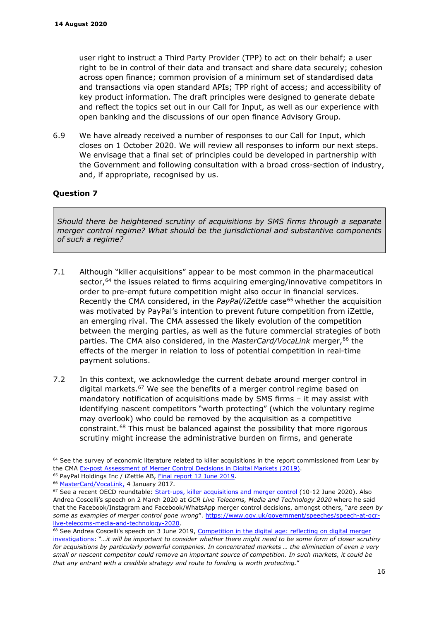user right to instruct a Third Party Provider (TPP) to act on their behalf; a user right to be in control of their data and transact and share data securely; cohesion across open finance; common provision of a minimum set of standardised data and transactions via open standard APIs; TPP right of access; and accessibility of key product information. The draft principles were designed to generate debate and reflect the topics set out in our Call for Input, as well as our experience with open banking and the discussions of our open finance Advisory Group.

6.9 We have already received a number of responses to our Call for Input, which closes on 1 October 2020. We will review all responses to inform our next steps. We envisage that a final set of principles could be developed in partnership with the Government and following consultation with a broad cross-section of industry, and, if appropriate, recognised by us.

# **Question 7**

*Should there be heightened scrutiny of acquisitions by SMS firms through a separate merger control regime? What should be the jurisdictional and substantive components of such a regime?* 

- 7.1 Although "killer acquisitions" appear to be most common in the pharmaceutical sector, $64$  the issues related to firms acquiring emerging/innovative competitors in order to pre-empt future competition might also occur in financial services. Recently the CMA considered, in the *PayPal/iZettle* case<sup>[65](#page-15-1)</sup> whether the acquisition was motivated by PayPal's intention to prevent future competition from iZettle, an emerging rival. The CMA assessed the likely evolution of the competition between the merging parties, as well as the future commercial strategies of both parties. The CMA also considered, in the *MasterCard/VocaLink* merger, <sup>[66](#page-15-2)</sup> the effects of the merger in relation to loss of potential competition in real-time payment solutions.
- 7.2 In this context, we acknowledge the current debate around merger control in digital markets.<sup>[67](#page-15-3)</sup> We see the benefits of a merger control regime based on mandatory notification of acquisitions made by SMS firms – it may assist with identifying nascent competitors "worth protecting" (which the voluntary regime may overlook) who could be removed by the acquisition as a competitive constraint.[68](#page-15-4) This must be balanced against the possibility that more rigorous scrutiny might increase the administrative burden on firms, and generate

<span id="page-15-0"></span><sup>&</sup>lt;sup>64</sup> See the survey of economic literature related to killer acquisitions in the report commissioned from Lear by the CMA [Ex-post Assessment of Merger Control Decisions in Digital Markets \(2019\).](https://assets.publishing.service.gov.uk/government/uploads/system/uploads/attachment_data/file/803576/CMA_past_digital_mergers_GOV.UK_version.pdf)<br><sup>65</sup> PayPal Holdings Inc / iZettle AB, <u>Final report 12 June 2019</u>.<br><sup>66</sup> [MasterCard/VocaLink,](https://assets.publishing.service.gov.uk/media/588f2c1fed915d4535000041/mastercard-vocalink-ftd.pdf) 4 January 2017.

<span id="page-15-1"></span>

<span id="page-15-3"></span><span id="page-15-2"></span><sup>&</sup>lt;sup>67</sup> See a recent OECD roundtable: [Start-ups, killer acquisitions and merger control](http://www.oecd.org/daf/competition/start-ups-killer-acquisitions-and-merger-control.htm) (10-12 June 2020). Also Andrea Coscelli's speech on 2 March 2020 at *GCR Live Telecoms, Media and Technology 2020* where he said that the Facebook/Instagram and Facebook/WhatsApp merger control decisions, amongst others, "*are seen by some as examples of merger control gone wrong*". [https://www.gov.uk/government/speeches/speech-at-gcr](https://www.gov.uk/government/speeches/speech-at-gcr-live-telecoms-media-and-technology-2020)[live-telecoms-media-and-technology-2020.](https://www.gov.uk/government/speeches/speech-at-gcr-live-telecoms-media-and-technology-2020)<br><sup>68</sup> See Andrea Coscelli's speech on 3 June 2019, Competition in the digital age: reflecting on digital merger

<span id="page-15-4"></span>[investigations:](https://www.gov.uk/government/speeches/competition-in-the-digital-age-reflecting-on-digital-merger-investigations) "*…it will be important to consider whether there might need to be some form of closer scrutiny for acquisitions by particularly powerful companies. In concentrated markets … the elimination of even a very small or nascent competitor could remove an important source of competition. In such markets, it could be that any entrant with a credible strategy and route to funding is worth protecting.*"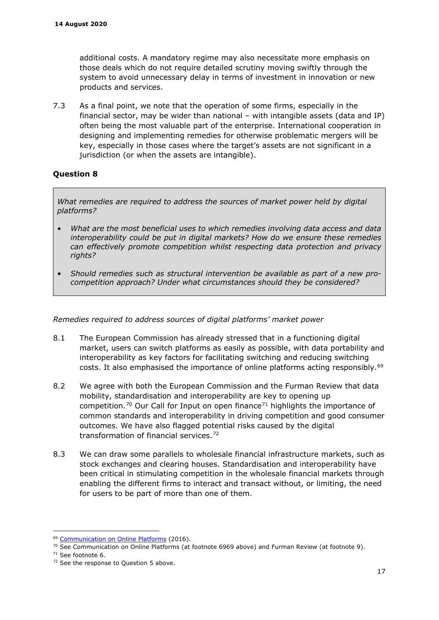additional costs. A mandatory regime may also necessitate more emphasis on those deals which do not require detailed scrutiny moving swiftly through the system to avoid unnecessary delay in terms of investment in innovation or new products and services.

7.3 As a final point, we note that the operation of some firms, especially in the financial sector, may be wider than national – with intangible assets (data and IP) often being the most valuable part of the enterprise. International cooperation in designing and implementing remedies for otherwise problematic mergers will be key, especially in those cases where the target's assets are not significant in a jurisdiction (or when the assets are intangible).

# **Question 8**

*What remedies are required to address the sources of market power held by digital platforms?* 

- *What are the most beneficial uses to which remedies involving data access and data interoperability could be put in digital markets? How do we ensure these remedies can effectively promote competition whilst respecting data protection and privacy rights?*
- *Should remedies such as structural intervention be available as part of a new procompetition approach? Under what circumstances should they be considered?*

#### *Remedies required to address sources of digital platforms' market power*

- 8.1 The European Commission has already stressed that in a functioning digital market, users can switch platforms as easily as possible, with data portability and interoperability as key factors for facilitating switching and reducing switching costs. It also emphasised the importance of online platforms acting responsibly.<sup>[69](#page-16-1)</sup>
- <span id="page-16-0"></span>8.2 We agree with both the European Commission and the Furman Review that data mobility, standardisation and interoperability are key to opening up competition.<sup>[70](#page-16-2)</sup> Our Call for Input on open finance<sup>[71](#page-16-3)</sup> highlights the importance of common standards and interoperability in driving competition and good consumer outcomes. We have also flagged potential risks caused by the digital transformation of financial services.[72](#page-16-4)
- 8.3 We can draw some parallels to wholesale financial infrastructure markets, such as stock exchanges and clearing houses. Standardisation and interoperability have been critical in stimulating competition in the wholesale financial markets through enabling the different firms to interact and transact without, or limiting, the need for users to be part of more than one of them.

<span id="page-16-1"></span><sup>69</sup> [Communication on Online Platforms](http://eur-lex.europa.eu/legal-content/EN/TXT/?qid=1466514160026&uri=CELEX:52016DC0288) (2016).

<span id="page-16-2"></span><sup>&</sup>lt;sup>70</sup> See Communication on Online Platforms (at footnote [6969](#page-16-0) above) and Furman Review (at footnote [9\)](#page-1-8).

<span id="page-16-4"></span><span id="page-16-3"></span> $71$  See footnote [6.](#page-0-8)<br> $72$  See the response to Ouestion 5 above.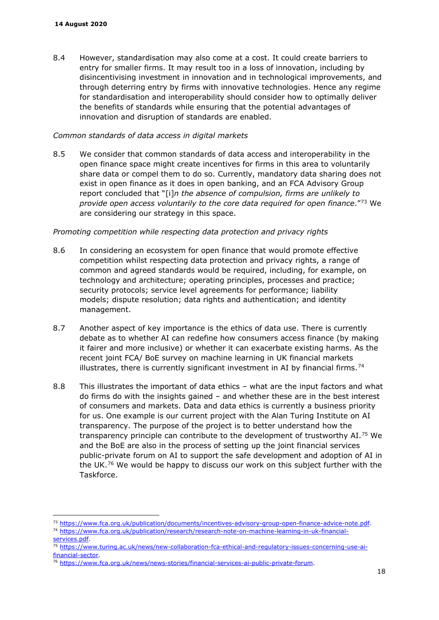8.4 However, standardisation may also come at a cost. It could create barriers to entry for smaller firms. It may result too in a loss of innovation, including by disincentivising investment in innovation and in technological improvements, and through deterring entry by firms with innovative technologies. Hence any regime for standardisation and interoperability should consider how to optimally deliver the benefits of standards while ensuring that the potential advantages of innovation and disruption of standards are enabled.

#### *Common standards of data access in digital markets*

8.5 We consider that common standards of data access and interoperability in the open finance space might create incentives for firms in this area to voluntarily share data or compel them to do so. Currently, mandatory data sharing does not exist in open finance as it does in open banking, and an FCA Advisory Group report concluded that "[i]*n the absence of compulsion, firms are unlikely to provide open access voluntarily to the core data required for open finance*."[73](#page-17-1) We are considering our strategy in this space.

#### *Promoting competition while respecting data protection and privacy rights*

- 8.6 In considering an ecosystem for open finance that would promote effective competition whilst respecting data protection and privacy rights, a range of common and agreed standards would be required, including, for example, on technology and architecture; operating principles, processes and practice; security protocols; service level agreements for performance; liability models; dispute resolution; data rights and authentication; and identity management.
- 8.7 Another aspect of key importance is the ethics of data use. There is currently debate as to whether AI can redefine how consumers access finance (by making it fairer and more inclusive) or whether it can exacerbate existing harms. As the recent joint FCA/ BoE survey on machine learning in UK financial markets illustrates, there is currently significant investment in AI by financial firms.<sup>[74](#page-17-2)</sup>
- <span id="page-17-0"></span>8.8 This illustrates the important of data ethics – what are the input factors and what do firms do with the insights gained – and whether these are in the best interest of consumers and markets. Data and data ethics is currently a business priority for us. One example is our current project with the Alan Turing Institute on AI transparency. The purpose of the project is to better understand how the transparency principle can contribute to the development of trustworthy AI.[75](#page-17-3) We and the BoE are also in the process of setting up the joint financial services public-private forum on AI to support the safe development and adoption of AI in the UK.<sup>[76](#page-17-4)</sup> We would be happy to discuss our work on this subject further with the Taskforce.

<span id="page-17-1"></span><sup>&</sup>lt;sup>73</sup> [https://www.fca.org.uk/publication/documents/incentives-advisory-group-open-finance-advice-note.pdf.](https://www.fca.org.uk/publication/documents/incentives-advisory-group-open-finance-advice-note.pdf)<br><sup>74</sup> [https://www.fca.org.uk/publication/research/research-note-on-machine-learning-in-uk-financial-](https://www.fca.org.uk/publication/research/research-note-on-machine-learning-in-uk-financial-services.pdf)

<span id="page-17-2"></span>[services.pdf.](https://www.fca.org.uk/publication/research/research-note-on-machine-learning-in-uk-financial-services.pdf)<br><sup>75</sup> [https://www.turing.ac.uk/news/new-collaboration-fca-ethical-and-regulatory-issues-concerning-use-ai-](https://www.turing.ac.uk/news/new-collaboration-fca-ethical-and-regulatory-issues-concerning-use-ai-financial-sector)

<span id="page-17-3"></span>[financial-sector.](https://www.turing.ac.uk/news/new-collaboration-fca-ethical-and-regulatory-issues-concerning-use-ai-financial-sector)<br><sup>76</sup> [https://www.fca.org.uk/news/news-stories/financial-services-ai-public-private-forum.](https://www.fca.org.uk/news/news-stories/financial-services-ai-public-private-forum)

<span id="page-17-4"></span>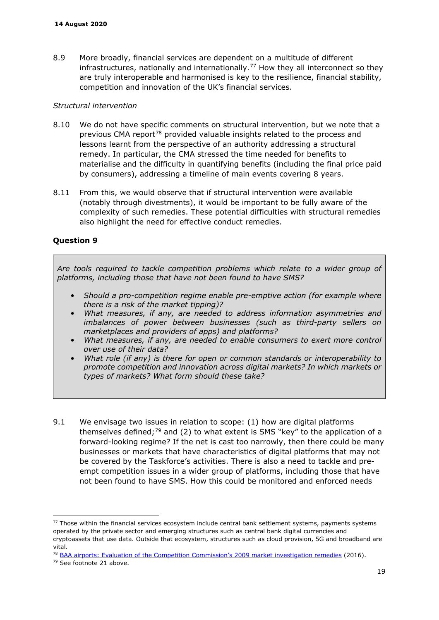8.9 More broadly, financial services are dependent on a multitude of different infrastructures, nationally and internationally.<sup>[77](#page-18-1)</sup> How they all interconnect so they are truly interoperable and harmonised is key to the resilience, financial stability, competition and innovation of the UK's financial services.

#### *Structural intervention*

- 8.10 We do not have specific comments on structural intervention, but we note that a previous CMA report[78](#page-18-2) provided valuable insights related to the process and lessons learnt from the perspective of an authority addressing a structural remedy. In particular, the CMA stressed the time needed for benefits to materialise and the difficulty in quantifying benefits (including the final price paid by consumers), addressing a timeline of main events covering 8 years.
- 8.11 From this, we would observe that if structural intervention were available (notably through divestments), it would be important to be fully aware of the complexity of such remedies. These potential difficulties with structural remedies also highlight the need for effective conduct remedies.

### **Question 9**

*Are tools required to tackle competition problems which relate to a wider group of platforms, including those that have not been found to have SMS?*

- *Should a pro-competition regime enable pre-emptive action (for example where there is a risk of the market tipping)?*
- *What measures, if any, are needed to address information asymmetries and imbalances of power between businesses (such as third-party sellers on marketplaces and providers of apps) and platforms?*
- *What measures, if any, are needed to enable consumers to exert more control over use of their data?*
- *What role (if any) is there for open or common standards or interoperability to promote competition and innovation across digital markets? In which markets or types of markets? What form should these take?*
- <span id="page-18-0"></span>9.1 We envisage two issues in relation to scope: (1) how are digital platforms themselves defined;<sup>79</sup> and (2) to what extent is SMS "key" to the application of a forward-looking regime? If the net is cast too narrowly, then there could be many businesses or markets that have characteristics of digital platforms that may not be covered by the Taskforce's activities. There is also a need to tackle and preempt competition issues in a wider group of platforms, including those that have not been found to have SMS. How this could be monitored and enforced needs

<span id="page-18-1"></span><sup>77</sup> Those within the financial services ecosystem include central bank settlement systems, payments systems operated by the private sector and emerging structures such as central bank digital currencies and cryptoassets that use data. Outside that ecosystem, structures such as cloud provision, 5G and broadband are vital.

<span id="page-18-2"></span><sup>78</sup> [BAA airports: Evaluation of the Competition Commission's 2009 market investigation remedies](https://assets.publishing.service.gov.uk/media/57399d43ed915d152d00000b/evaluation_of_baa__market_investigation_remedies.pdf) (2016).

<span id="page-18-3"></span><sup>79</sup> See footnote [21](#page-3-5) above.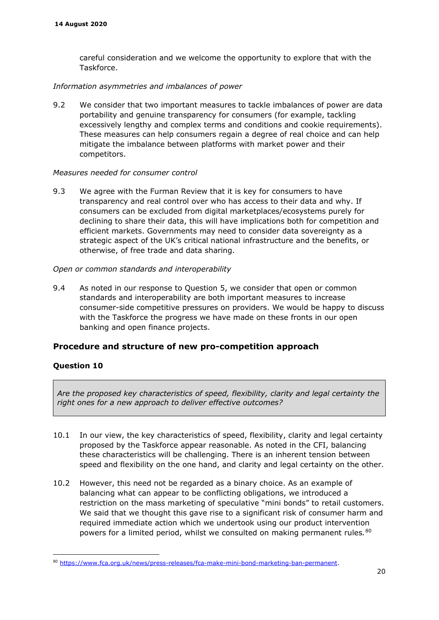careful consideration and we welcome the opportunity to explore that with the Taskforce.

### *Information asymmetries and imbalances of power*

9.2 We consider that two important measures to tackle imbalances of power are data portability and genuine transparency for consumers (for example, tackling excessively lengthy and complex terms and conditions and cookie requirements). These measures can help consumers regain a degree of real choice and can help mitigate the imbalance between platforms with market power and their competitors.

### *Measures needed for consumer control*

9.3 We agree with the Furman Review that it is key for consumers to have transparency and real control over who has access to their data and why. If consumers can be excluded from digital marketplaces/ecosystems purely for declining to share their data, this will have implications both for competition and efficient markets. Governments may need to consider data sovereignty as a strategic aspect of the UK's critical national infrastructure and the benefits, or otherwise, of free trade and data sharing.

### *Open or common standards and interoperability*

9.4 As noted in our response to Question 5, we consider that open or common standards and interoperability are both important measures to increase consumer-side competitive pressures on providers. We would be happy to discuss with the Taskforce the progress we have made on these fronts in our open banking and open finance projects.

### **Procedure and structure of new pro-competition approach**

### **Question 10**

*Are the proposed key characteristics of speed, flexibility, clarity and legal certainty the right ones for a new approach to deliver effective outcomes?*

- 10.1 In our view, the key characteristics of speed, flexibility, clarity and legal certainty proposed by the Taskforce appear reasonable. As noted in the CFI, balancing these characteristics will be challenging. There is an inherent tension between speed and flexibility on the one hand, and clarity and legal certainty on the other.
- 10.2 However, this need not be regarded as a binary choice. As an example of balancing what can appear to be conflicting obligations, we introduced a restriction on the mass marketing of speculative "mini bonds" to retail customers. We said that we thought this gave rise to a significant risk of consumer harm and required immediate action which we undertook using our product intervention powers for a limited period, whilst we consulted on making permanent rules*.*[80](#page-20-0)

<sup>80</sup> [https://www.fca.org.uk/news/press-releases/fca-make-mini-bond-marketing-ban-permanent.](https://www.fca.org.uk/news/press-releases/fca-make-mini-bond-marketing-ban-permanent)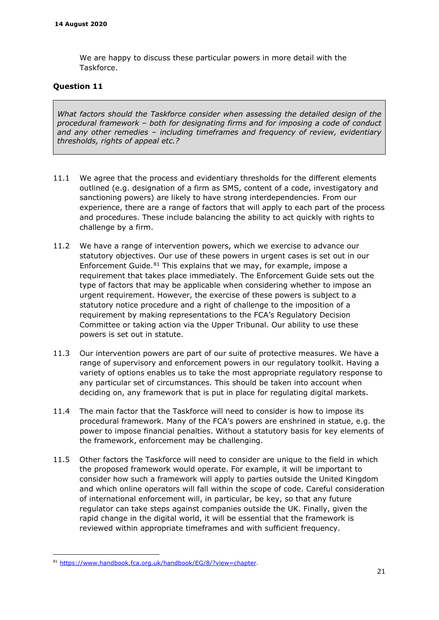We are happy to discuss these particular powers in more detail with the Taskforce.

### **Question 11**

*What factors should the Taskforce consider when assessing the detailed design of the procedural framework – both for designating firms and for imposing a code of conduct and any other remedies – including timeframes and frequency of review, evidentiary thresholds, rights of appeal etc.?* 

- 11.1 We agree that the process and evidentiary thresholds for the different elements outlined (e.g. designation of a firm as SMS, content of a code, investigatory and sanctioning powers) are likely to have strong interdependencies. From our experience, there are a range of factors that will apply to each part of the process and procedures. These include balancing the ability to act quickly with rights to challenge by a firm.
- 11.2 We have a range of intervention powers, which we exercise to advance our statutory objectives. Our use of these powers in urgent cases is set out in our Enforcement Guide. $81$  This explains that we may, for example, impose a requirement that takes place immediately. The Enforcement Guide sets out the type of factors that may be applicable when considering whether to impose an urgent requirement. However, the exercise of these powers is subject to a statutory notice procedure and a right of challenge to the imposition of a requirement by making representations to the FCA's Regulatory Decision Committee or taking action via the Upper Tribunal. Our ability to use these powers is set out in statute.
- 11.3 Our intervention powers are part of our suite of protective measures. We have a range of supervisory and enforcement powers in our regulatory toolkit. Having a variety of options enables us to take the most appropriate regulatory response to any particular set of circumstances. This should be taken into account when deciding on, any framework that is put in place for regulating digital markets.
- 11.4 The main factor that the Taskforce will need to consider is how to impose its procedural framework. Many of the FCA's powers are enshrined in statue, e.g. the power to impose financial penalties. Without a statutory basis for key elements of the framework, enforcement may be challenging.
- 11.5 Other factors the Taskforce will need to consider are unique to the field in which the proposed framework would operate. For example, it will be important to consider how such a framework will apply to parties outside the United Kingdom and which online operators will fall within the scope of code. Careful consideration of international enforcement will, in particular, be key, so that any future regulator can take steps against companies outside the UK. Finally, given the rapid change in the digital world, it will be essential that the framework is reviewed within appropriate timeframes and with sufficient frequency.

<span id="page-20-1"></span><span id="page-20-0"></span><sup>81</sup> [https://www.handbook.fca.org.uk/handbook/EG/8/?view=chapter.](https://www.handbook.fca.org.uk/handbook/EG/8/?view=chapter)